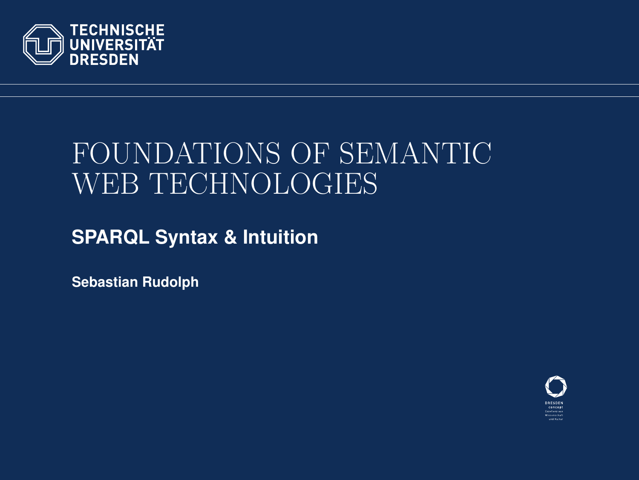

# FOUNDATIONS OF SEMANTIC WEB TECHNOLOGIES

**SPARQL Syntax & Intuition**

**Sebastian Rudolph**

<span id="page-0-0"></span>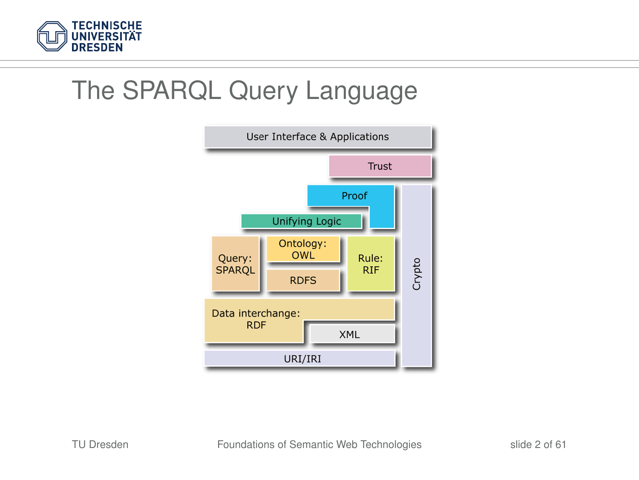

## The SPARQL Query Language

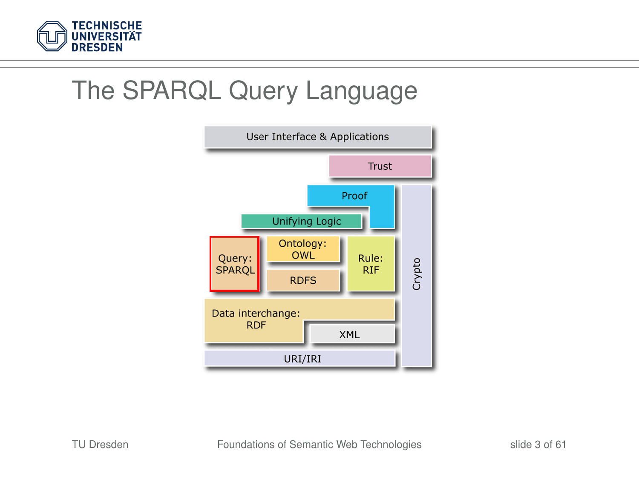

## The SPARQL Query Language

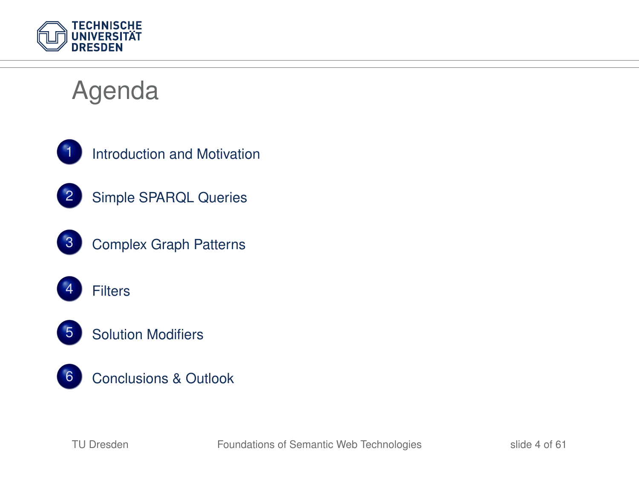

# Agenda



[Introduction and Motivation](#page-4-0)



[Simple SPARQL Queries](#page-10-0)



[Complex Graph Patterns](#page-29-0)





[Solution Modifiers](#page-51-0)



[Conclusions & Outlook](#page-57-0)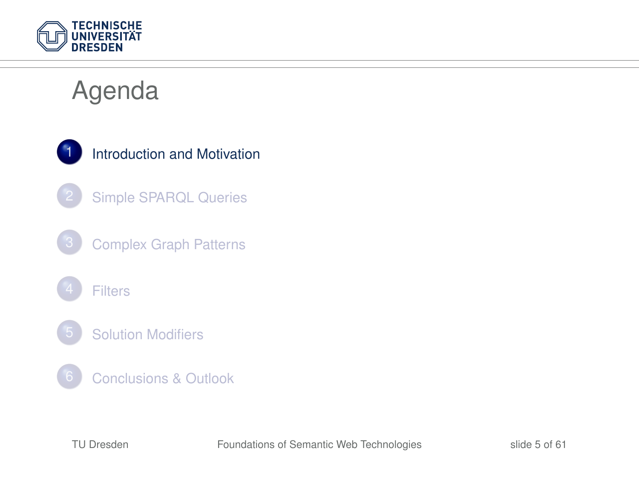

# Agenda

<span id="page-4-0"></span>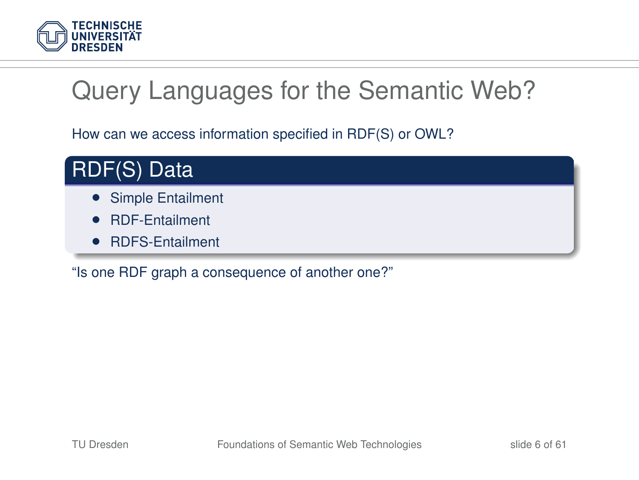

# Query Languages for the Semantic Web?

How can we access information specified in RDF(S) or OWL?



- Simple Entailment
- RDF-Entailment
- RDFS-Entailment

"Is one RDF graph a consequence of another one?"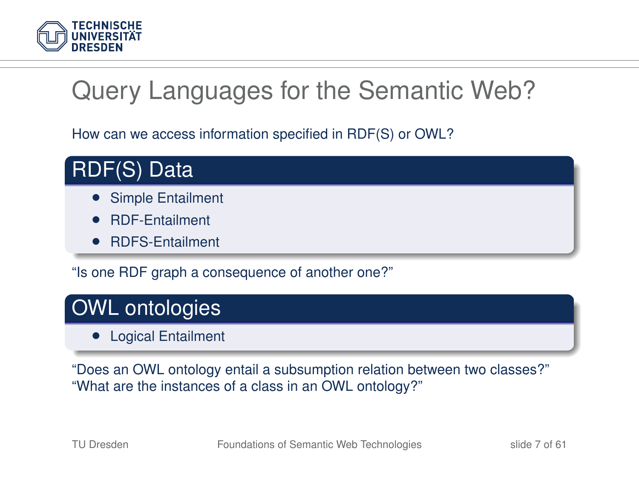

# Query Languages for the Semantic Web?

How can we access information specified in RDF(S) or OWL?



- Simple Entailment
- RDF-Entailment
- RDFS-Entailment

"Is one RDF graph a consequence of another one?"

#### OWL ontologies

• Logical Entailment

"Does an OWL ontology entail a subsumption relation between two classes?" "What are the instances of a class in an OWL ontology?"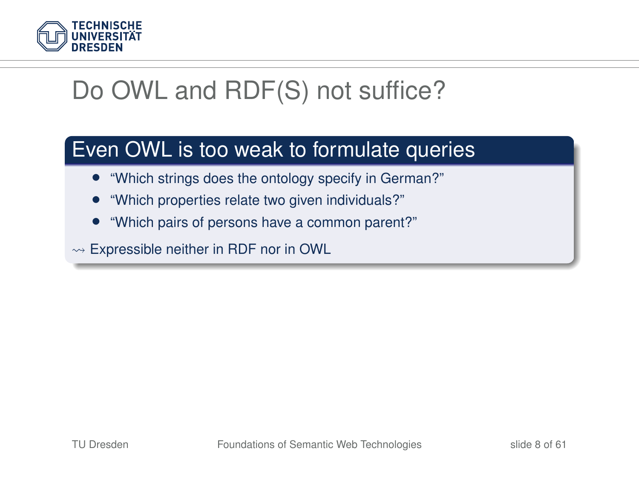

# Do OWL and RDF(S) not suffice?

#### Even OWL is too weak to formulate queries

- "Which strings does the ontology specify in German?"
- "Which properties relate two given individuals?"
- "Which pairs of persons have a common parent?"

 $\rightsquigarrow$  Expressible neither in RDF nor in OWL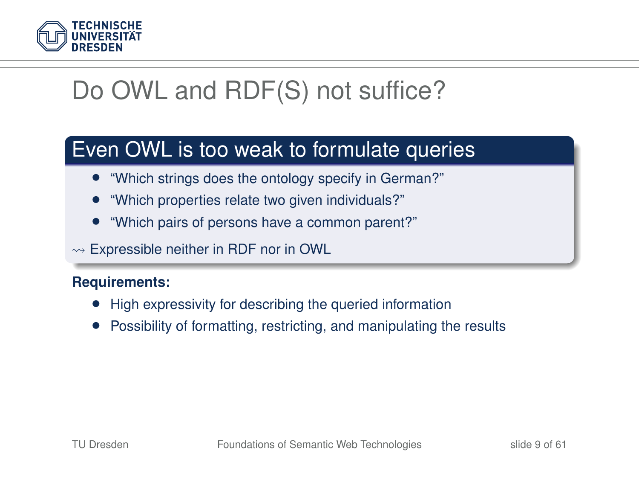

# Do OWL and RDF(S) not suffice?

#### Even OWL is too weak to formulate queries

- "Which strings does the ontology specify in German?"
- "Which properties relate two given individuals?"
- "Which pairs of persons have a common parent?"

 $\rightarrow$  Expressible neither in RDF nor in OWL

#### **Requirements:**

- High expressivity for describing the queried information
- Possibility of formatting, restricting, and manipulating the results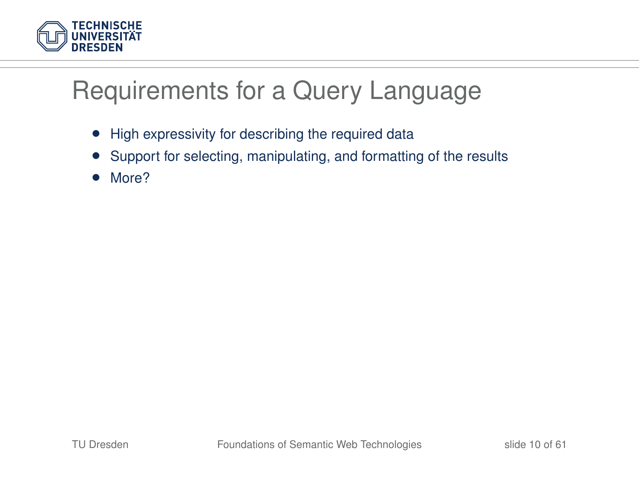

## Requirements for a Query Language

- High expressivity for describing the required data
- Support for selecting, manipulating, and formatting of the results
- More?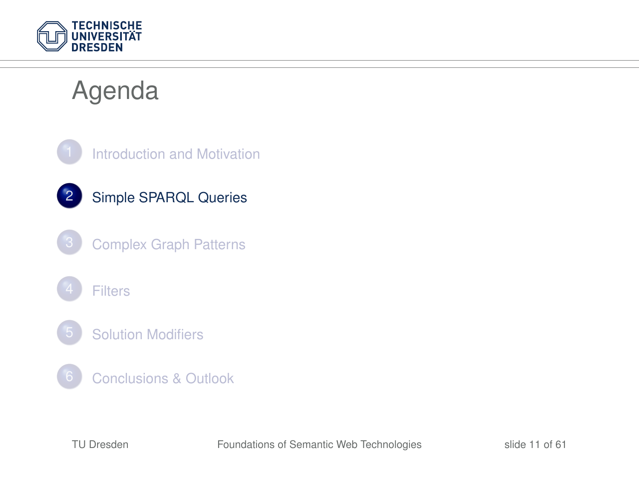

## Agenda

<span id="page-10-0"></span>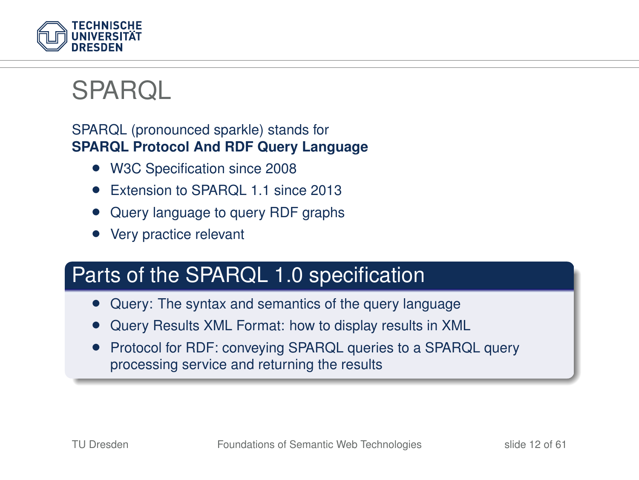

### **SPARQL**

#### SPARQL (pronounced sparkle) stands for **SPARQL Protocol And RDF Query Language**

- W3C Specification since 2008
- Extension to SPAROL 1.1 since 2013
- Query language to query RDF graphs
- Very practice relevant

#### Parts of the SPARQL 1.0 specification

- Query: The syntax and semantics of the query language
- Query Results XML Format: how to display results in XML
- Protocol for RDF: conveying SPARQL queries to a SPARQL query processing service and returning the results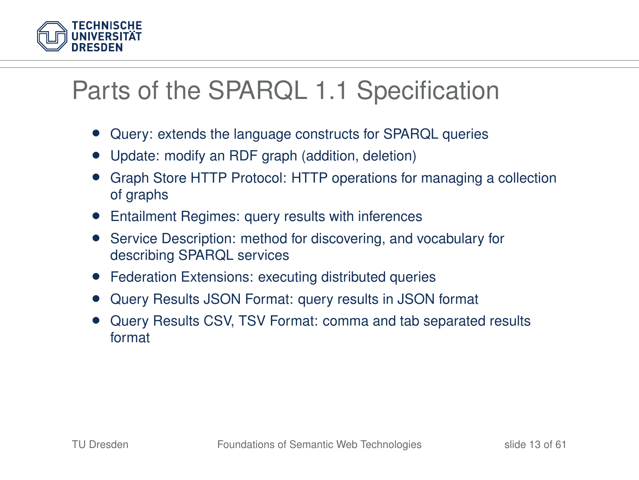

## Parts of the SPARQL 1.1 Specification

- Query: extends the language constructs for SPARQL queries
- Update: modify an RDF graph (addition, deletion)
- Graph Store HTTP Protocol: HTTP operations for managing a collection of graphs
- Entailment Regimes: query results with inferences
- Service Description: method for discovering, and vocabulary for describing SPARQL services
- Federation Extensions: executing distributed queries
- Query Results JSON Format: query results in JSON format
- Query Results CSV, TSV Format: comma and tab separated results format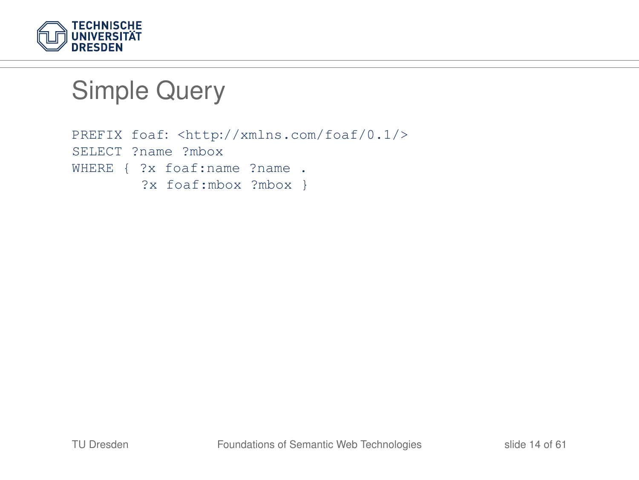

```
PREFIX foaf: <http://xmlns.com/foaf/0.1/>
SELECT ?name ?mbox
WHERE { ?x foaf:name ?name .
        ?x foaf:mbox ?mbox }
```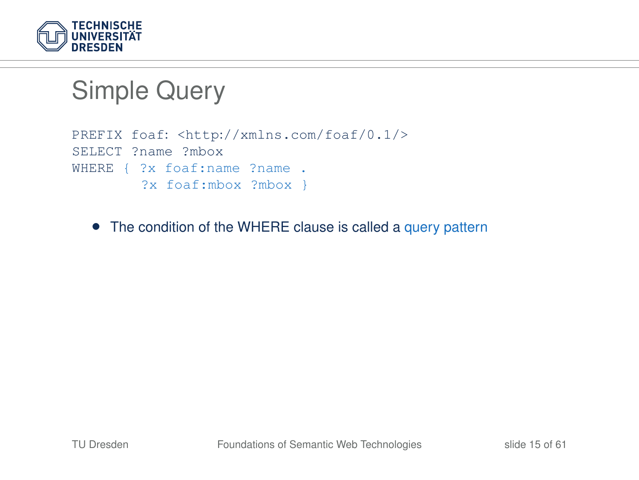

```
PREFIX foaf: <http://xmlns.com/foaf/0.1/>
SELECT ?name ?mbox
WHERE { ?x foaf:name ?name .
        ?x foaf:mbox ?mbox }
```
• The condition of the WHERE clause is called a query pattern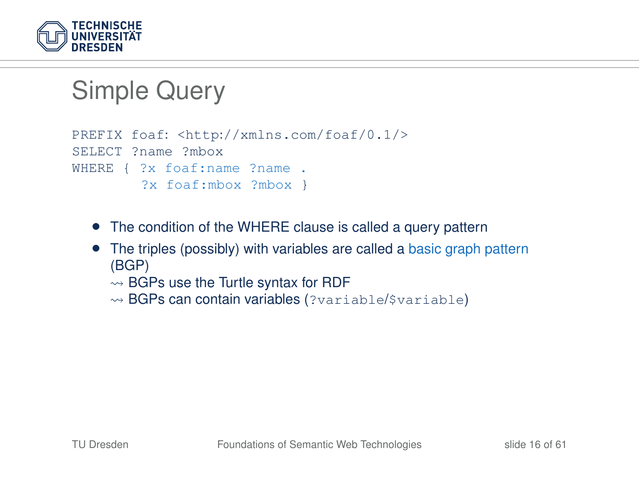

```
PREFIX foaf: <http://xmlns.com/foaf/0.1/>
SELECT ?name ?mbox
WHERE { ?x foaf:name ?name .
        ?x foaf:mbox ?mbox }
```
- The condition of the WHERE clause is called a query pattern
- The triples (possibly) with variables are called a basic graph pattern (BGP)
	- $\rightsquigarrow$  BGPs use the Turtle syntax for RDF
	- $\rightsquigarrow$  BGPs can contain variables (?variable/\$variable)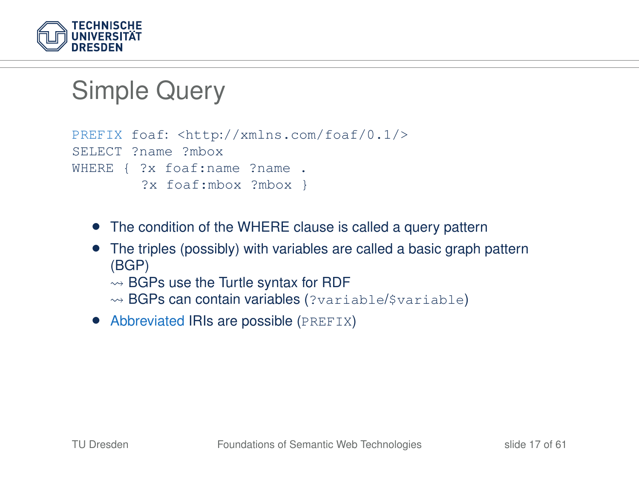

```
PREFIX foaf: <http://xmlns.com/foaf/0.1/>
SELECT ?name ?mbox
WHERE { ?x foaf:name ?name .
        ?x foaf:mbox ?mbox }
```
- The condition of the WHERE clause is called a query pattern
- The triples (possibly) with variables are called a basic graph pattern (BGP)
	- $\rightsquigarrow$  BGPs use the Turtle syntax for RDF
	- $\rightsquigarrow$  BGPs can contain variables (?variable/\$variable)
- Abbreviated IRIs are possible (PREFIX)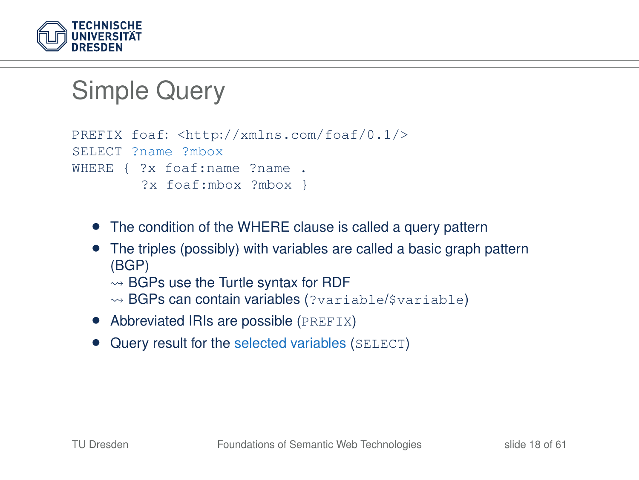

```
PREFIX foaf: <http://xmlns.com/foaf/0.1/>
SELECT ?name ?mbox
WHERE { ?x foaf:name ?name .
        ?x foaf:mbox ?mbox }
```
- The condition of the WHERE clause is called a query pattern
- The triples (possibly) with variables are called a basic graph pattern (BGP)
	- $\rightsquigarrow$  BGPs use the Turtle syntax for RDF
	- $\rightsquigarrow$  BGPs can contain variables (?variable/\$variable)
- Abbreviated IRIs are possible (PREFIX)
- Query result for the selected variables (SELECT)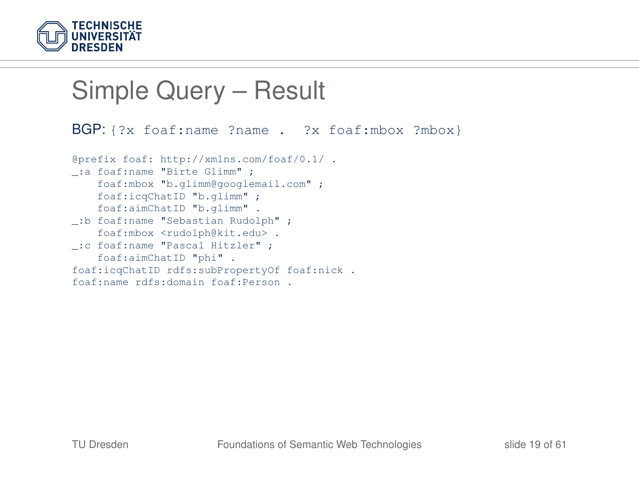

# Simple Query – Result

```
BGP: {?x foaf:name ?name . ?x foaf:mbox ?mbox}
@prefix foaf: http://xmlns.com/foaf/0.1/ .
_:a foaf:name "Birte Glimm" ;
    foaf:mbox "b.glimm@googlemail.com" ;
   foaf:icqChatID "b.glimm" ;
    foaf:aimChatID "b.glimm" .
_:b foaf:name "Sebastian Rudolph" ;
    foaf:mbox <rudolph@kit.edu> .
_:c foaf:name "Pascal Hitzler" ;
   foaf:aimChatID "phi" .
foaf:icqChatID rdfs:subPropertyOf foaf:nick .
foaf:name rdfs:domain foaf:Person .
```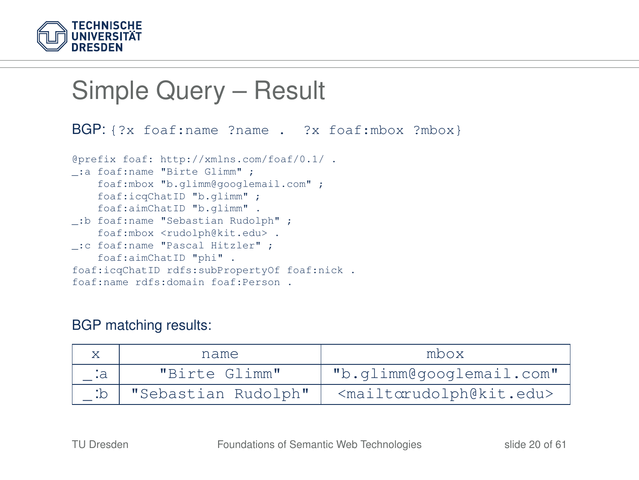

#### Simple Query – Result BGP: {?x foaf:name ?name . ?x foaf:mbox ?mbox} @prefix foaf: http://xmlns.com/foaf/0.1/ . \_:a foaf:name "Birte Glimm" ; foaf:mbox "b.glimm@googlemail.com" ; foaf:icqChatID "b.glimm" ; foaf:aimChatID "b.glimm" . \_:b foaf:name "Sebastian Rudolph" ; foaf:mbox <rudolph@kit.edu> . \_:c foaf:name "Pascal Hitzler" ; foaf:aimChatID "phi" . foaf:icqChatID rdfs:subPropertyOf foaf:nick . foaf:name rdfs:domain foaf:Person .

#### BGP matching results:

|    | name                | mbox                                            |  |
|----|---------------------|-------------------------------------------------|--|
| :a | "Birte Glimm"       | "b.glimm@googlemail.com"                        |  |
|    | "Sebastian Rudolph" | <mailtorudolph@kit.edu></mailtorudolph@kit.edu> |  |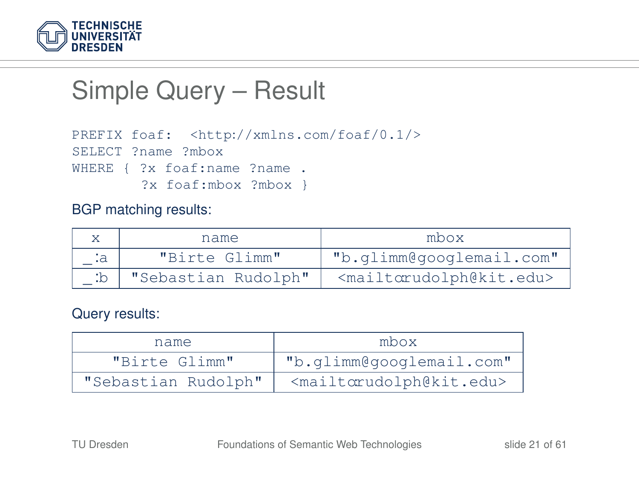

### Simple Query – Result

```
PREFIX foaf: <http://xmlns.com/foaf/0.1/>
SELECT ?name ?mbox
WHERE { ?x foaf:name ?name .
        ?x foaf:mbox ?mbox }
```
#### BGP matching results:

|      | name.               | mbox                                            |  |
|------|---------------------|-------------------------------------------------|--|
| . ta | "Birte Glimm"       | "b.glimm@googlemail.com"                        |  |
| :b   | "Sebastian Rudolph" | <mailtorudolph@kit.edu></mailtorudolph@kit.edu> |  |

#### Query results:

| name.               | mbox                                            |
|---------------------|-------------------------------------------------|
| "Birte Glimm"       | "b.glimm@googlemail.com"                        |
| "Sebastian Rudolph" | <mailtorudolph@kit.edu></mailtorudolph@kit.edu> |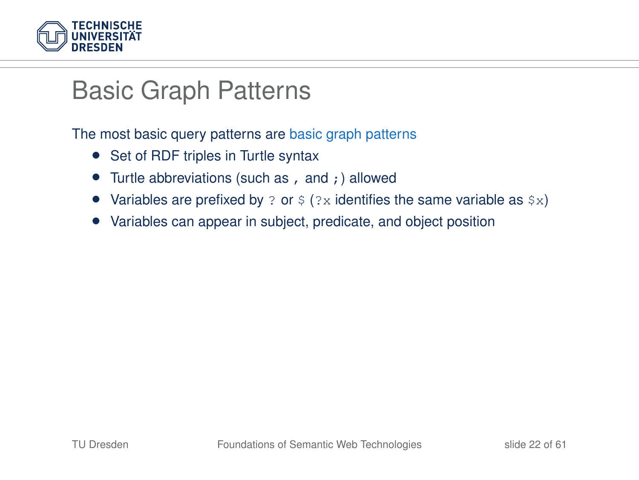

#### Basic Graph Patterns

The most basic query patterns are basic graph patterns

- Set of RDF triples in Turtle syntax
- Turtle abbreviations (such as, and;) allowed
- Variables are prefixed by ? or  $\frac{1}{2}$  (?x identifies the same variable as  $\frac{1}{2}$ x)
- Variables can appear in subject, predicate, and object position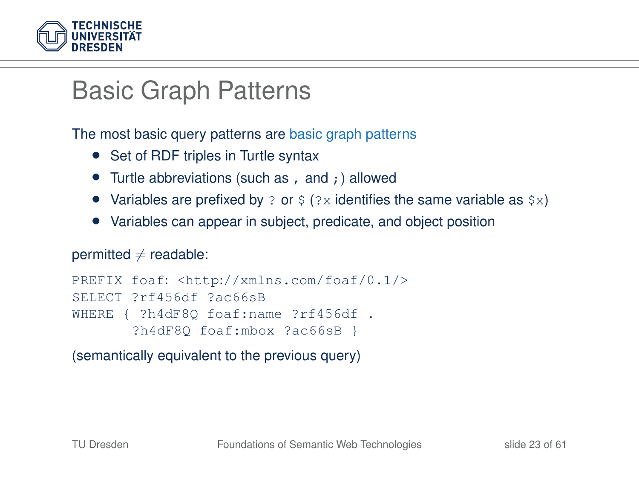

### Basic Graph Patterns

The most basic query patterns are basic graph patterns

- Set of RDF triples in Turtle syntax
- Turtle abbreviations (such as, and;) allowed
- Variables are prefixed by ? or  $\frac{1}{2}$  (?x identifies the same variable as  $\frac{1}{2}$ x)
- Variables can appear in subject, predicate, and object position

#### permitted  $\neq$  readable:

```
PREFIX foaf: <http://xmlns.com/foaf/0.1/>
SELECT ?rf456df ?ac66sB
WHERE { ?h4dF8Q foaf:name ?rf456df .
       ?h4dF8Q foaf:mbox ?ac66sB }
```
(semantically equivalent to the previous query)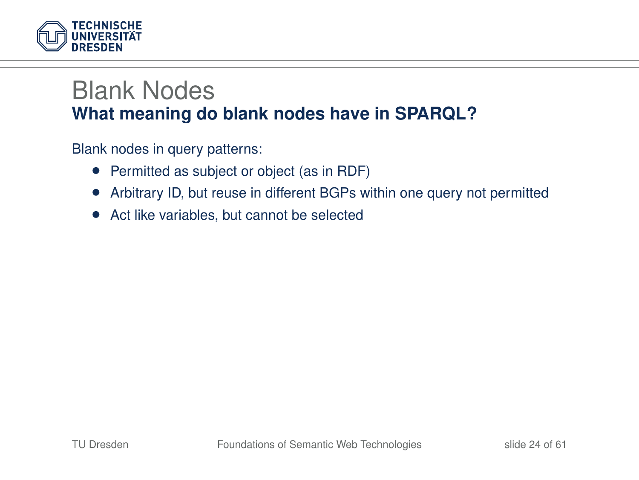

#### Blank Nodes **What meaning do blank nodes have in SPARQL?**

Blank nodes in query patterns:

- Permitted as subject or object (as in RDF)
- Arbitrary ID, but reuse in different BGPs within one query not permitted
- Act like variables, but cannot be selected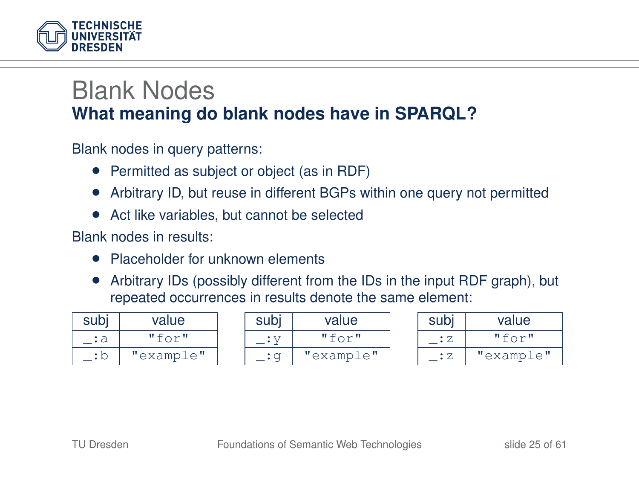

#### Blank Nodes **What meaning do blank nodes have in SPARQL?**

Blank nodes in query patterns:

- Permitted as subject or object (as in RDF)
- Arbitrary ID, but reuse in different BGPs within one query not permitted
- Act like variables, but cannot be selected

Blank nodes in results:

- Placeholder for unknown elements
- Arbitrary IDs (possibly different from the IDs in the input RDF graph), but repeated occurrences in results denote the same element:

| subi | value     |
|------|-----------|
|      | "for"     |
|      | "example" |

| subj | value     |
|------|-----------|
|      | "for"     |
|      | "example" |

| subj | value     |
|------|-----------|
| ÷ Z. | "for"     |
| : 7. | "example" |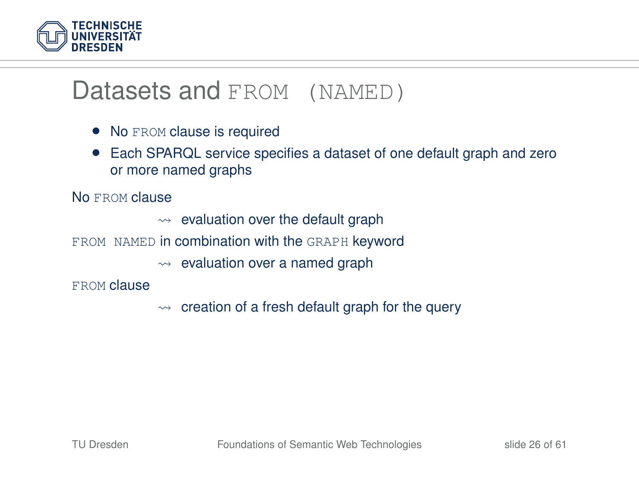

#### Datasets and FROM (NAMED)

- No FROM clause is required
- Each SPARQL service specifies a dataset of one default graph and zero or more named graphs

No FROM clause

- $\rightarrow$  evaluation over the default graph
- FROM NAMED in combination with the GRAPH keyword
	- $\rightarrow$  evaluation over a named graph

FROM clause

 $\rightarrow$  creation of a fresh default graph for the query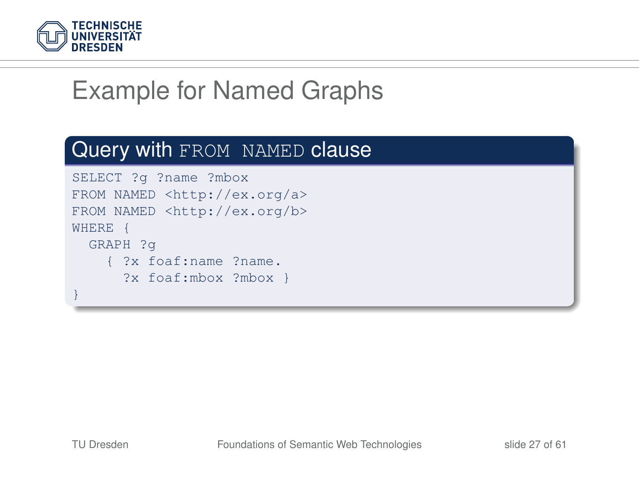

# Example for Named Graphs

#### Query with FROM NAMED clause

```
SELECT ?g ?name ?mbox
FROM NAMED <http://ex.org/a>
FROM NAMED <http://ex.org/b>
WHERE {
 GRAPH ?g
    { ?x foaf:name ?name.
      ?x foaf:mbox ?mbox }
}
```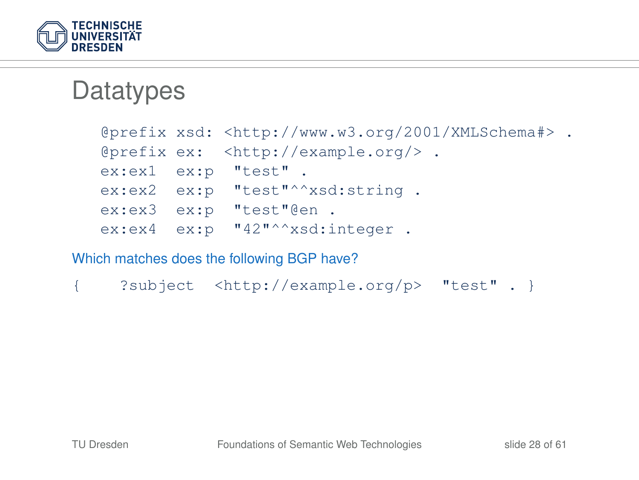

### **Datatypes**

|                     | @prefix xsd: <http: 2001="" www.w3.org="" xmlschema#=""> .</http:> |  |
|---------------------|--------------------------------------------------------------------|--|
|                     | @prefix ex: <http: example.org=""></http:> .                       |  |
| ex:ex1 ex:p "test". |                                                                    |  |
|                     | ex:ex2 ex:p "test"^^xsd:string.                                    |  |
|                     | ex:ex3 ex:p "test"@en.                                             |  |
|                     | ex:ex4 ex:p "42"^^xsd:integer.                                     |  |

Which matches does the following BGP have?

```
{ ?subject <http://example.org/p> "test" . }
```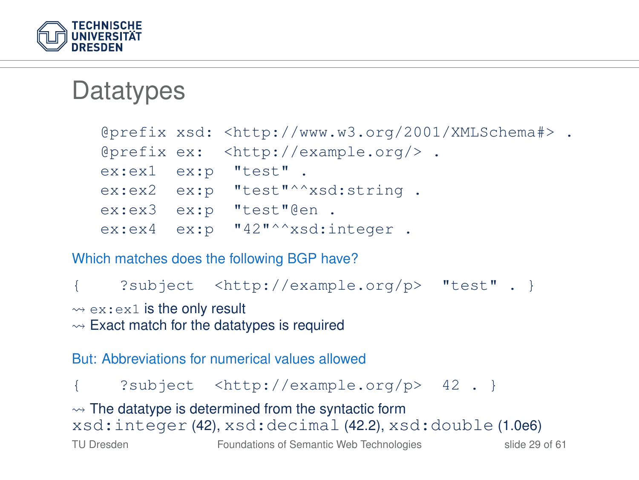

### **Datatypes**

|  | @prefix xsd: <http: 2001="" www.w3.org="" xmlschema#=""> .</http:> |  |
|--|--------------------------------------------------------------------|--|
|  | @prefix ex: <http: &.<="" example.org="" td=""><td></td></http:>   |  |
|  | ex:ex1 ex:p "test".                                                |  |
|  | ex:ex2 ex:p "test"^^xsd:string.                                    |  |
|  | ex:ex3 ex:p "test"@en.                                             |  |
|  | $ex:ex4$ $ex:p$ " $42"$ "xsd:integer.                              |  |

Which matches does the following BGP have?

{ ?subject <http://example.org/p> "test" . }

 $\Leftrightarrow$  ex: ex1 is the only result

 $\rightarrow$  Exact match for the datatypes is required

But: Abbreviations for numerical values allowed

{ ?subject <http://example.org/p> 42 . }

 $\rightarrow$  The datatype is determined from the syntactic form xsd:integer (42), xsd:decimal (42.2), xsd:double (1.0e6)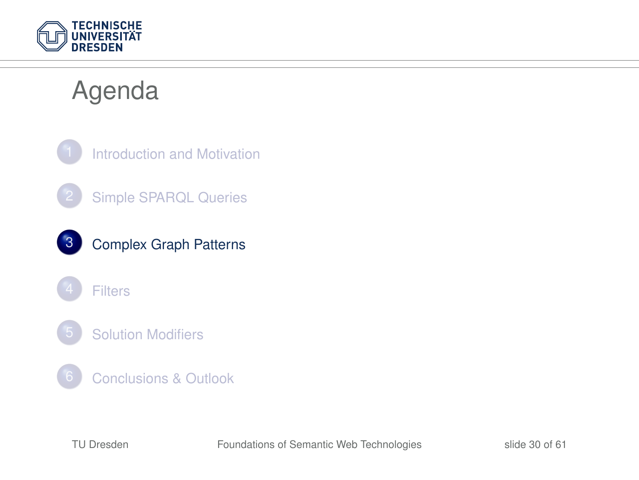

## Agenda

<span id="page-29-0"></span>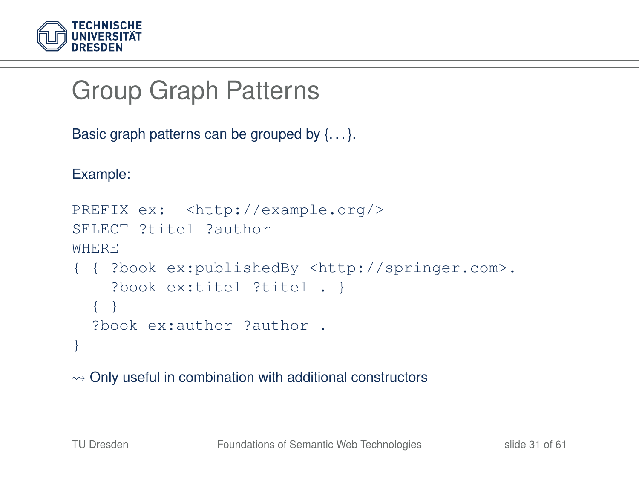

```
Group Graph Patterns
```

```
Basic graph patterns can be grouped by \{\ldots\}.
```
Example:

```
PREFIX ex: <http://example.org/>
SELECT ?titel ?author
WHERE
{ { ?book ex:publishedBy <http://springer.com>.
    ?book ex:titel ?titel . }
  { }
  ?book ex:author ?author .
}
```
 $\rightsquigarrow$  Only useful in combination with additional constructors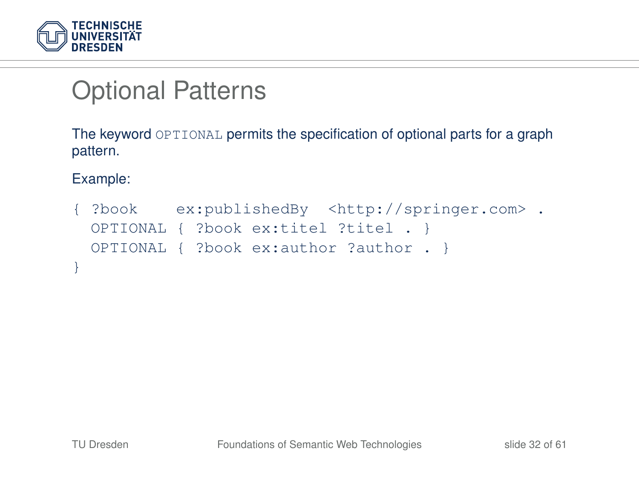

# Optional Patterns

The keyword OPTIONAL permits the specification of optional parts for a graph pattern.

Example:

```
{ ?book ex:publishedBy <http://springer.com> .
 OPTIONAL { ?book ex:titel ?titel . }
 OPTIONAL { ?book ex:author ?author . }
}
```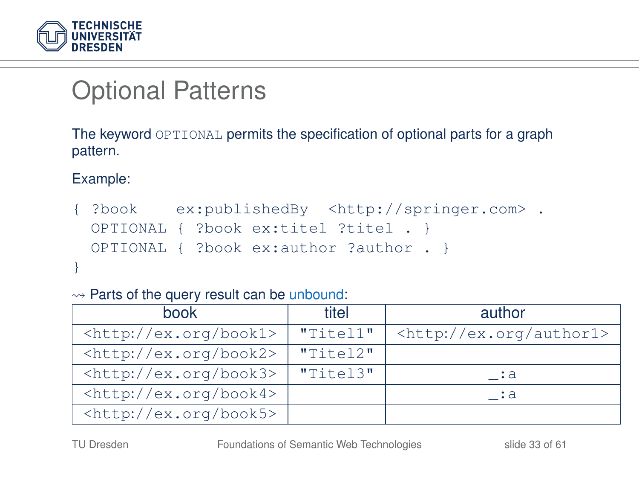

# Optional Patterns

The keyword OPTIONAL permits the specification of optional parts for a graph pattern.

Example:

{ ?book ex:publishedBy <http://springer.com> . OPTIONAL { ?book ex:titel ?titel . } OPTIONAL { ?book ex:author ?author . } }

 $\rightarrow$  Parts of the query result can be unbound:

| book                                                    | titel          | author                               |
|---------------------------------------------------------|----------------|--------------------------------------|
| <http: book1="" ex.org=""></http:>                      | "Titel1"       | <http: author1="" ex.org=""></http:> |
| <http: book2="" ex.org=""></http:>                      | "Titel2"       |                                      |
| <http: book3="" ex.org=""></http:>                      | $"$ Titel $3"$ | . : a                                |
| $\left\langle \text{http://ex.org/book4} \right\rangle$ |                | . :a                                 |
| <http: book5="" ex.org=""></http:>                      |                |                                      |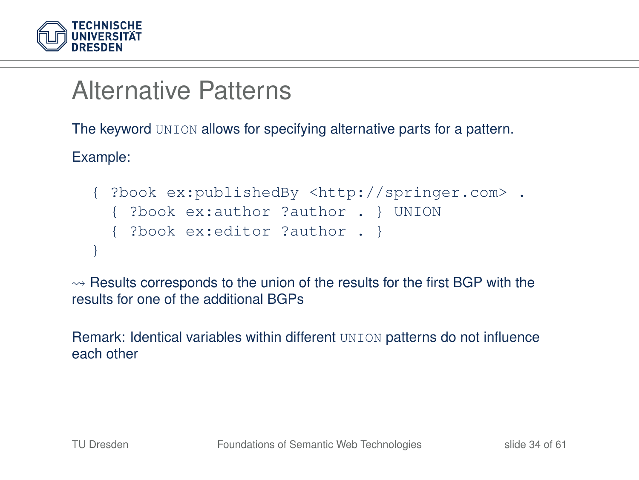

## Alternative Patterns

The keyword UNION allows for specifying alternative parts for a pattern.

Example:

```
{ ?book ex:publishedBy <http://springer.com> .
  { ?book ex:author ?author . } UNION
  { ?book ex:editor ?author . }
}
```
 $\rightarrow$  Results corresponds to the union of the results for the first BGP with the results for one of the additional BGPs

Remark: Identical variables within different UNION patterns do not influence each other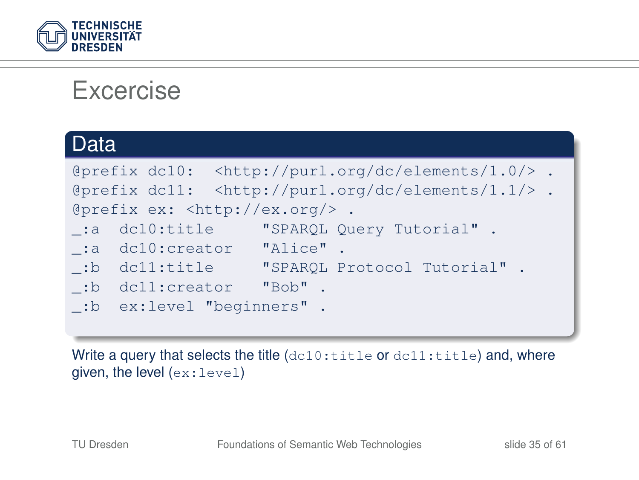

#### Excercise

| Data                                    |                                                                      |
|-----------------------------------------|----------------------------------------------------------------------|
|                                         | @prefix dc10: <http: 1.0="" dc="" elements="" purl.org=""></http:> . |
|                                         | @prefix dc11: <http: 1.1="" dc="" elements="" purl.org=""></http:> . |
| @prefix ex: <http: ex.org=""></http:> . |                                                                      |
|                                         | .: a dc10:title "SPARQL Query Tutorial".                             |
| :a dc10:creator "Alice".                |                                                                      |
|                                         |                                                                      |
| :b dc11:creator "Bob".                  |                                                                      |
| . "b ex:level "beginners".              |                                                                      |

Write a query that selects the title (dc10:title or dc11:title) and, where given, the level (ex:level)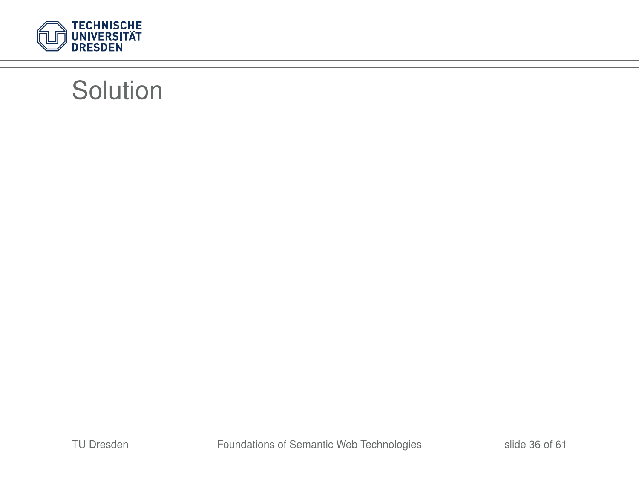

## **Solution**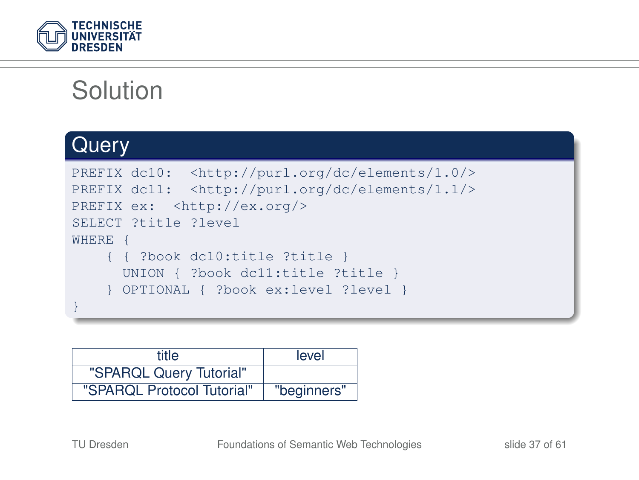

# **Solution**

#### **Query**

```
PREFIX dc10: <http://purl.org/dc/elements/1.0/>
PREFIX dc11: <http://purl.org/dc/elements/1.1/>
PREFIX ex: <http://ex.org/>
SELECT ?title ?level
WHERE {
    { { ?book dc10:title ?title }
      UNION { ?book dc11:title ?title }
     } OPTIONAL { ?book ex:level ?level }
}
```

| title                      | level       |
|----------------------------|-------------|
| "SPARQL Query Tutorial"    |             |
| "SPARQL Protocol Tutorial" | "beginners" |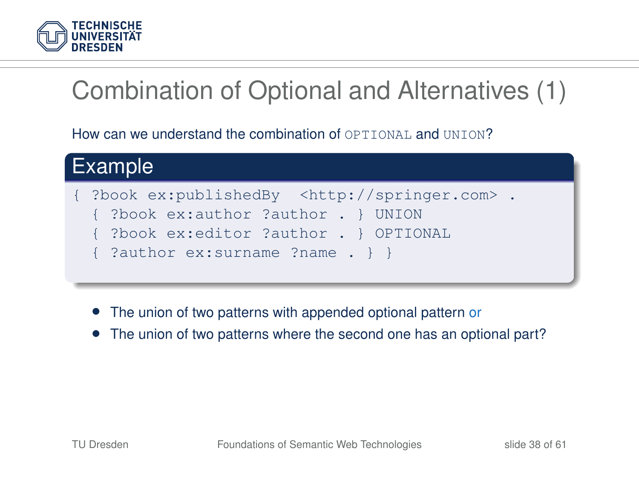

# Combination of Optional and Alternatives (1)

How can we understand the combination of OPTIONAL and UNION?



- The union of two patterns with appended optional pattern or
- The union of two patterns where the second one has an optional part?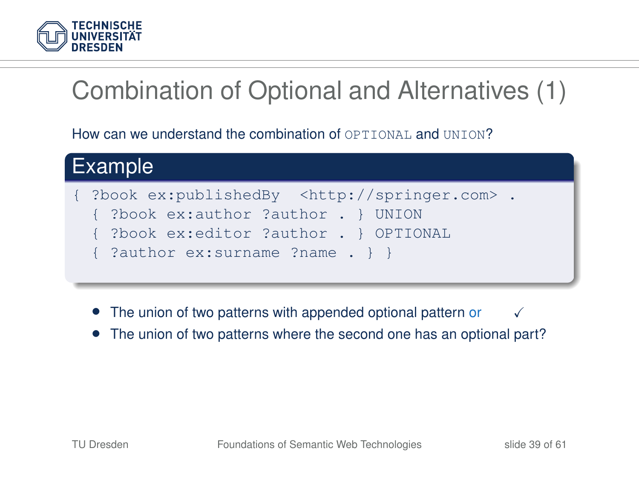

# Combination of Optional and Alternatives (1)

How can we understand the combination of OPTIONAL and UNION?



- The union of two patterns with appended optional pattern or  $\checkmark$
- The union of two patterns where the second one has an optional part?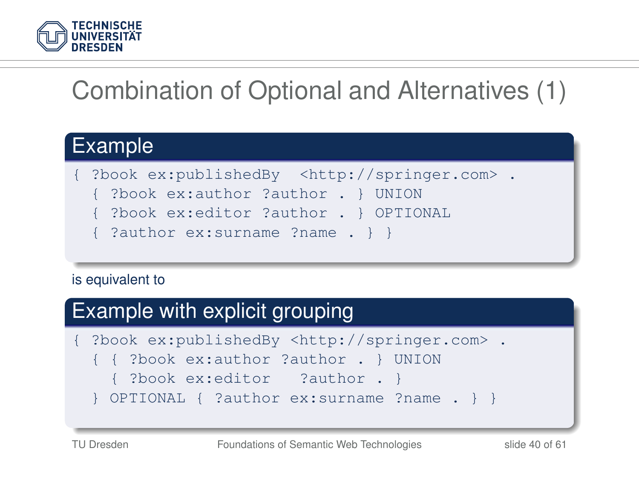

# Combination of Optional and Alternatives (1)

#### Example

{ ?book ex:publishedBy <http://springer.com> .

{ ?book ex:author ?author . } UNION

- { ?book ex:editor ?author . } OPTIONAL
- { ?author ex:surname ?name . } }

#### is equivalent to

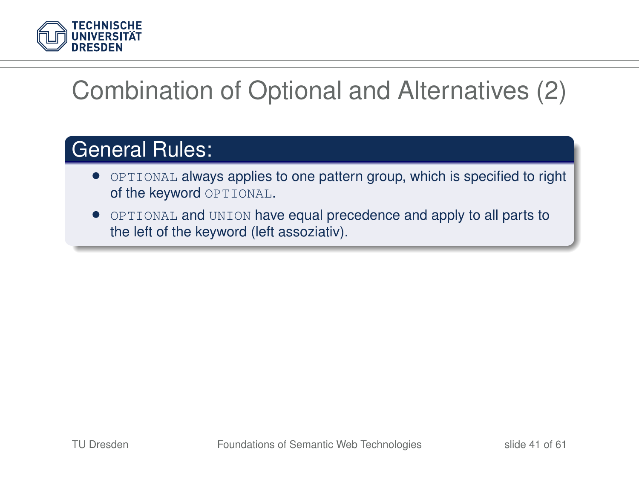

# Combination of Optional and Alternatives (2)

#### General Rules:

- OPTIONAL always applies to one pattern group, which is specified to right of the keyword OPTIONAL.
- OPTIONAL and UNION have equal precedence and apply to all parts to the left of the keyword (left assoziativ).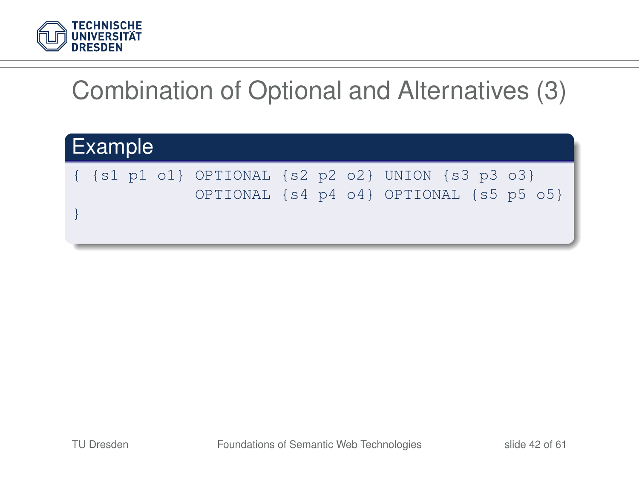

# Combination of Optional and Alternatives (3)

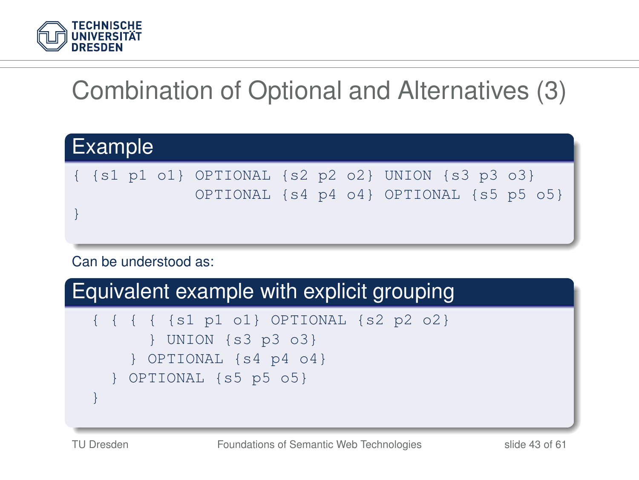

# Combination of Optional and Alternatives (3)

| $\{ \{ s1 p1 o1 \}$ OPTIONAL $\{ s2 p2 o2 \}$ UNION $\{ s3 p3 o3 \}$<br>OPTIONAL {s4 p4 o4} OPTIONAL {s5 p5 o5} | Example |  |  |  |  |  |  |  |  |
|-----------------------------------------------------------------------------------------------------------------|---------|--|--|--|--|--|--|--|--|
|                                                                                                                 |         |  |  |  |  |  |  |  |  |
|                                                                                                                 |         |  |  |  |  |  |  |  |  |

#### Can be understood as:

#### Equivalent example with explicit grouping

```
{ { { { {s1 p1 o1} OPTIONAL {s2 p2 o2}
        } UNION {s3 p3 o3}
    } OPTIONAL {s4 p4 o4}
   } OPTIONAL {s5 p5 o5}
}
```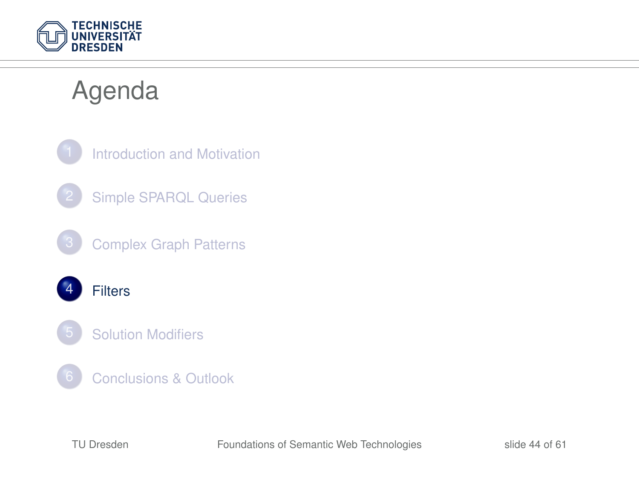

## Agenda

<span id="page-43-0"></span>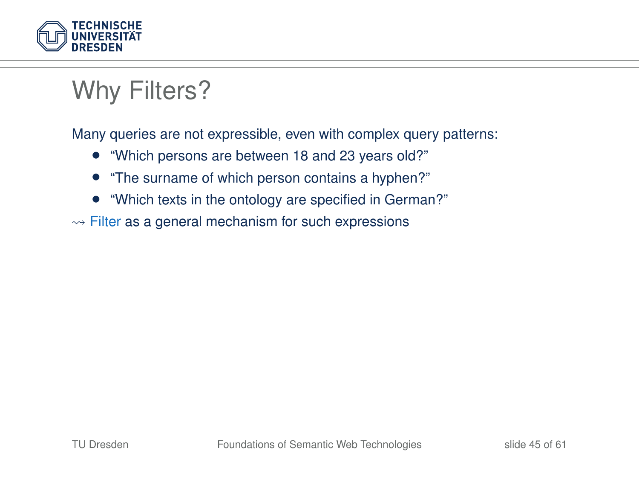

# Why Filters?

Many queries are not expressible, even with complex query patterns:

- "Which persons are between 18 and 23 years old?"
- "The surname of which person contains a hyphen?"
- "Which texts in the ontology are specified in German?"
- $\rightarrow$  Filter as a general mechanism for such expressions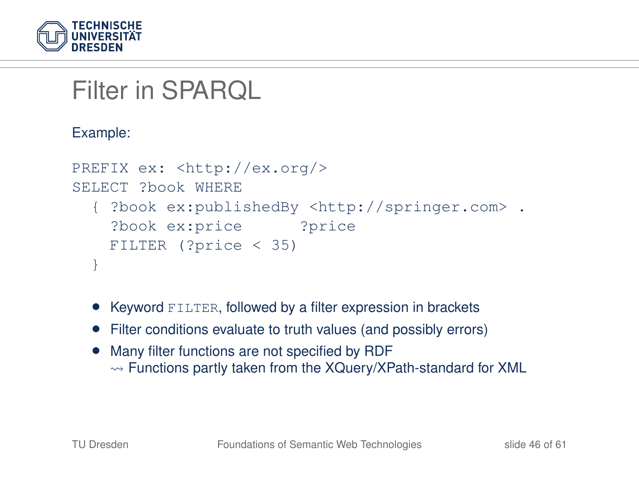

Filter in SPARQL

Example:

```
PREFIX ex: <http://ex.org/>
SELECT ?book WHERE
   { ?book ex:publishedBy <http://springer.com> .
    ?book ex:price ?price
   FILTER (?price < 35)
  }
```
- Keyword FILTER, followed by a filter expression in brackets
- Filter conditions evaluate to truth values (and possibly errors)
- Many filter functions are not specified by RDF  $\rightarrow$  Functions partly taken from the XQuery/XPath-standard for XML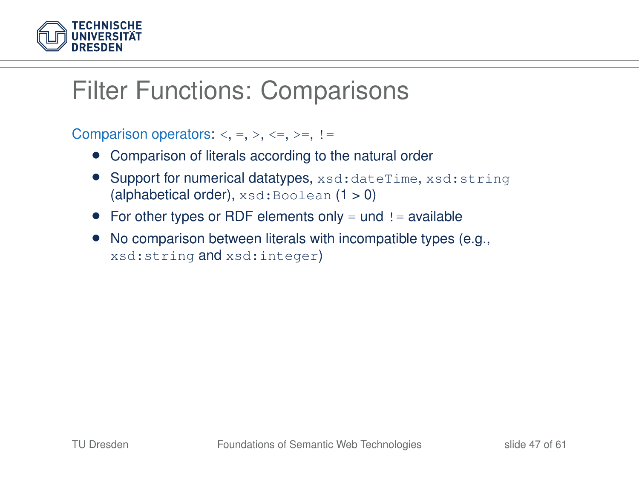

## Filter Functions: Comparisons

Comparison operators:  $\langle , =, \rangle$ ,  $\langle =, \rangle =, \rangle =$ 

- Comparison of literals according to the natural order
- Support for numerical datatypes, xsd:dateTime, xsd:string (alphabetical order),  $xsd:Boolean(1 > 0)$
- For other types or RDF elements only  $=$  und  $!=$  available
- No comparison between literals with incompatible types (e.g., xsd:string and xsd:integer)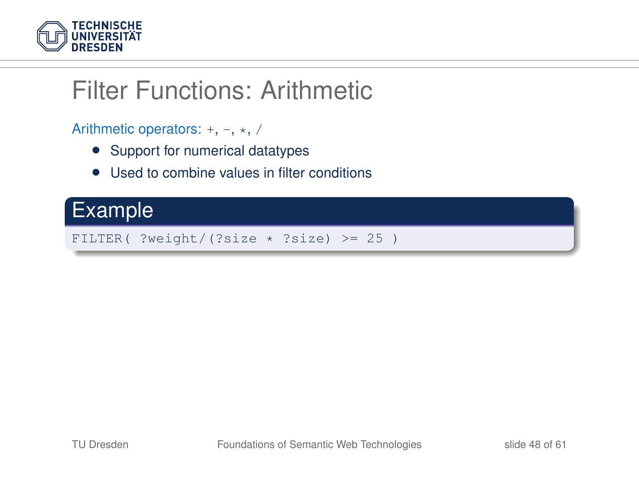

## Filter Functions: Arithmetic

Arithmetic operators:  $+, -, *, /$ 

- Support for numerical datatypes
- Used to combine values in filter conditions

#### Example

FILTER( ?weight/(?size  $*$  ?size) >= 25)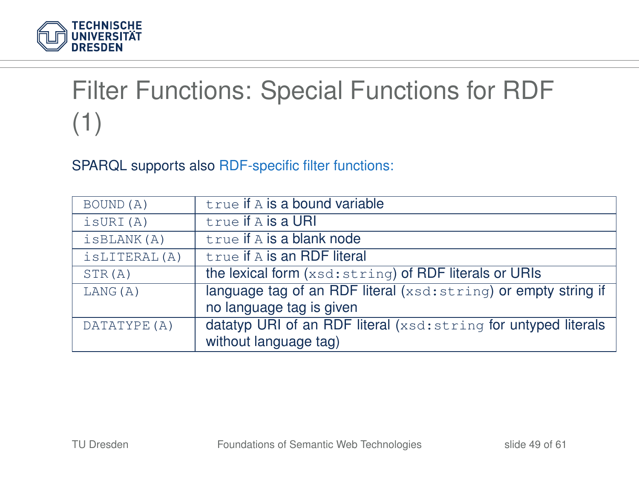

# Filter Functions: Special Functions for RDF (1)

SPARQL supports also RDF-specific filter functions:

| BOUND (A)    | true if A is a bound variable                                   |
|--------------|-----------------------------------------------------------------|
| isURI(A)     | true if A is a URI                                              |
| isBLANK(A)   | true if A is a blank node                                       |
| isLITERAL(A) | true if A is an RDF literal                                     |
| STR(A)       | the lexical form (xsd: string) of RDF literals or URIs          |
| LANG(A)      | language tag of an RDF literal (xsd: string) or empty string if |
|              | no language tag is given                                        |
| DATATYPE (A) | datatyp URI of an RDF literal (xsd: string for untyped literals |
|              | without language tag)                                           |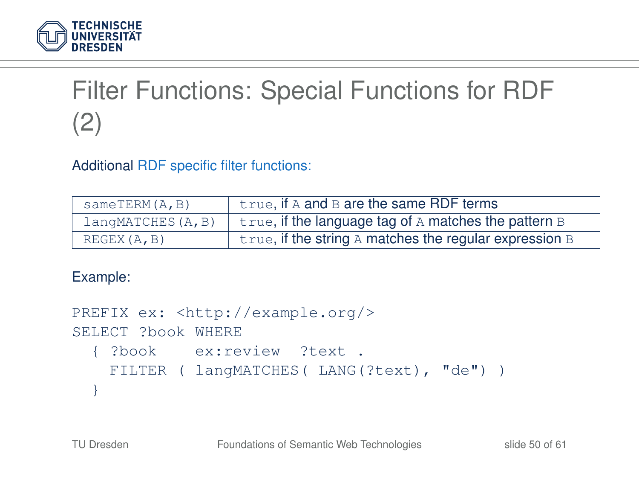

# Filter Functions: Special Functions for RDF (2)

Additional RDF specific filter functions:

| sameTERM(A,B)     | true, if A and B are the same RDF terms                     |
|-------------------|-------------------------------------------------------------|
| langMATCHES(A, B) | $true$ , if the language tag of A matches the pattern $B$   |
| REGEX(A, B)       | $true$ , if the string A matches the regular expression $B$ |

Example:

```
PREFIX ex: <http://example.org/>
SELECT ?book WHERE
  { ?book ex:review ?text .
   FILTER ( langMATCHES( LANG(?text), "de") )
  }
```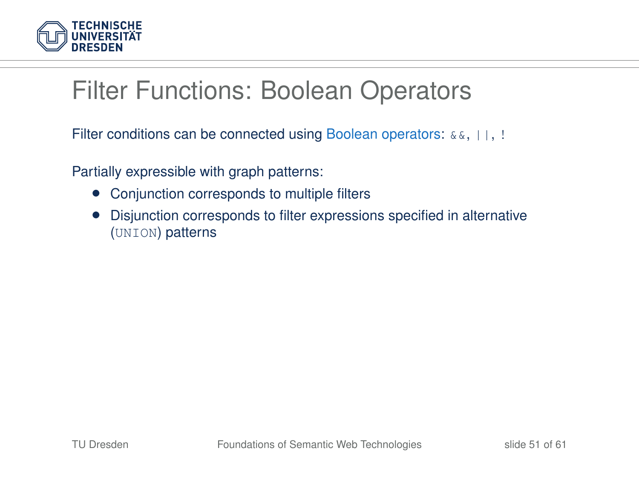

## Filter Functions: Boolean Operators

Filter conditions can be connected using Boolean operators:  $\&\&\&\,, \,|\,|\,$ , !

Partially expressible with graph patterns:

- Conjunction corresponds to multiple filters
- Disjunction corresponds to filter expressions specified in alternative (UNION) patterns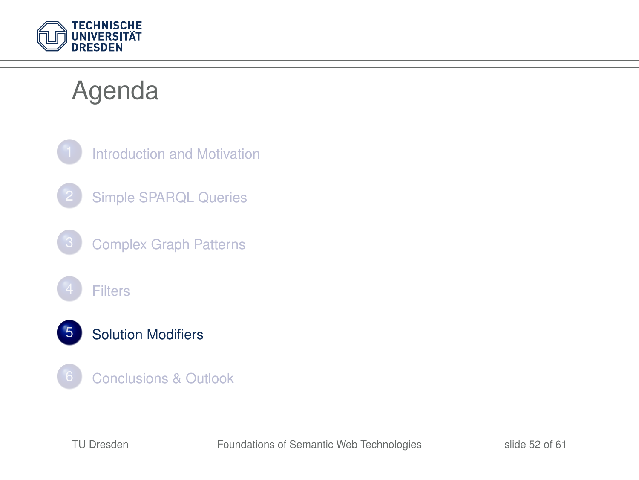

## Agenda

<span id="page-51-0"></span>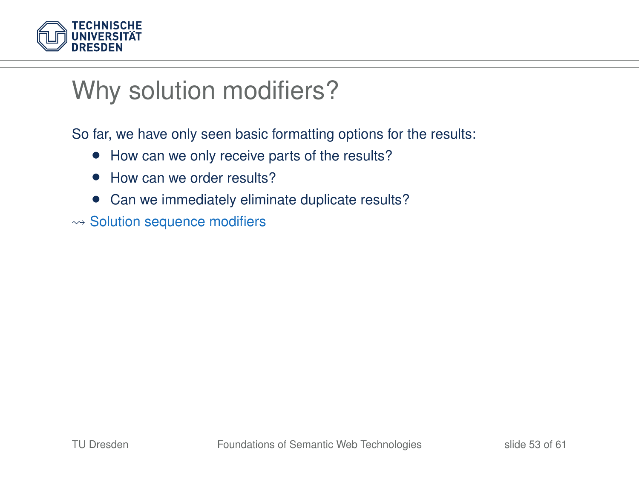

## Why solution modifiers?

So far, we have only seen basic formatting options for the results:

- How can we only receive parts of the results?
- How can we order results?
- Can we immediately eliminate duplicate results?
- $\rightsquigarrow$  Solution sequence modifiers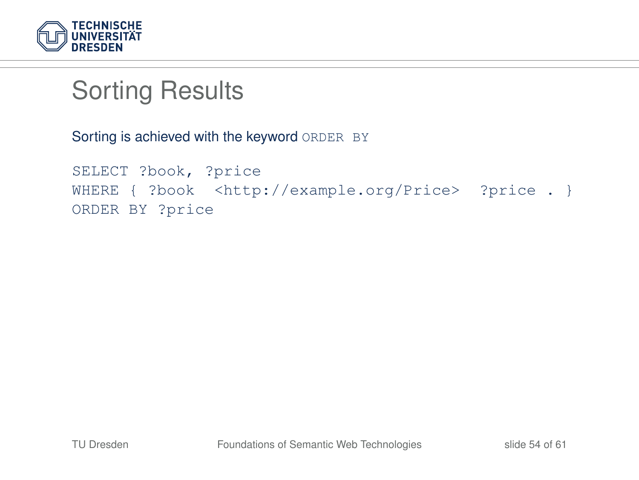

# Sorting Results

Sorting is achieved with the keyword ORDER BY

```
SELECT ?book, ?price
WHERE { ?book <http://example.org/Price> ?price . }
ORDER BY ?price
```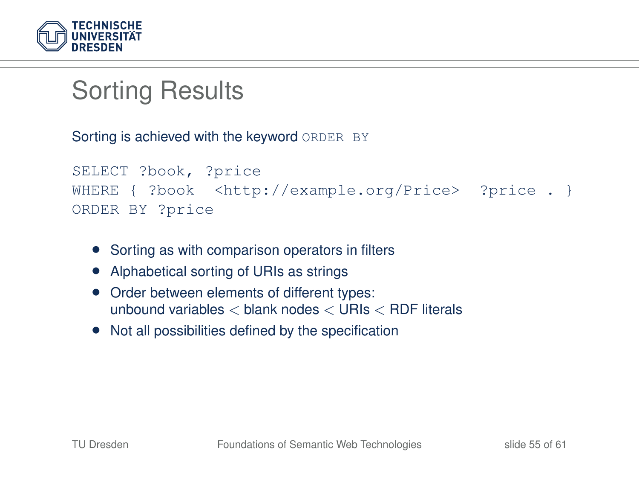

# Sorting Results

Sorting is achieved with the keyword ORDER BY

```
SELECT ?book, ?price
WHERE { ?book <http://example.org/Price> ?price . }
ORDER BY ?price
```
- Sorting as with comparison operators in filters
- Alphabetical sorting of URIs as strings
- Order between elements of different types: unbound variables < blank nodes < URIs < RDF literals
- Not all possibilities defined by the specification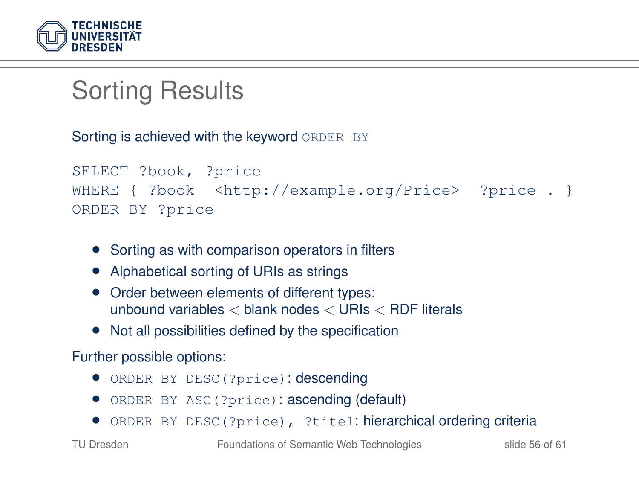

# Sorting Results

Sorting is achieved with the keyword ORDER BY

```
SELECT ?book, ?price
WHERE { ?book <http://example.org/Price> ?price . }
ORDER BY ?price
```
- Sorting as with comparison operators in filters
- Alphabetical sorting of URIs as strings
- Order between elements of different types: unbound variables < blank nodes < URIs < RDF literals
- Not all possibilities defined by the specification

#### Further possible options:

- ORDER BY DESC(?price): descending
- ORDER BY ASC(?price): ascending (default)
- ORDER BY DESC(?price), ?titel: hierarchical ordering criteria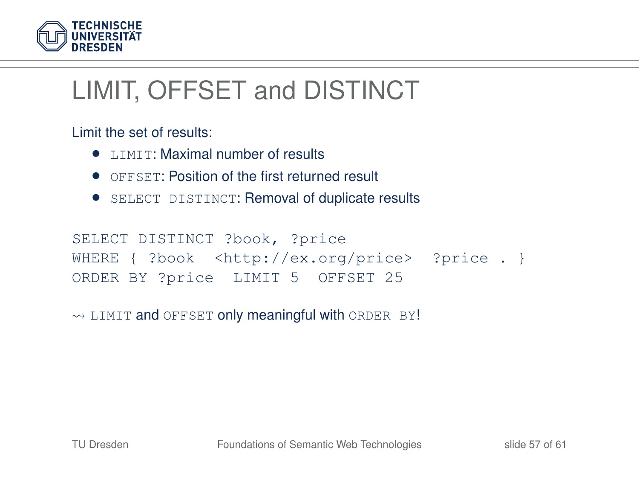

# LIMIT, OFFSET and DISTINCT

Limit the set of results:

- **LIMIT: Maximal number of results**
- **OFFSET: Position of the first returned result**
- SELECT DISTINCT: Removal of duplicate results

```
SELECT DISTINCT ?book, ?price
WHERE { ?book <http://ex.org/price> ?price . }
ORDER BY ?price LIMIT 5 OFFSET 25
```
 $\rightarrow$  LIMIT and OFFSET only meaningful with ORDER BY!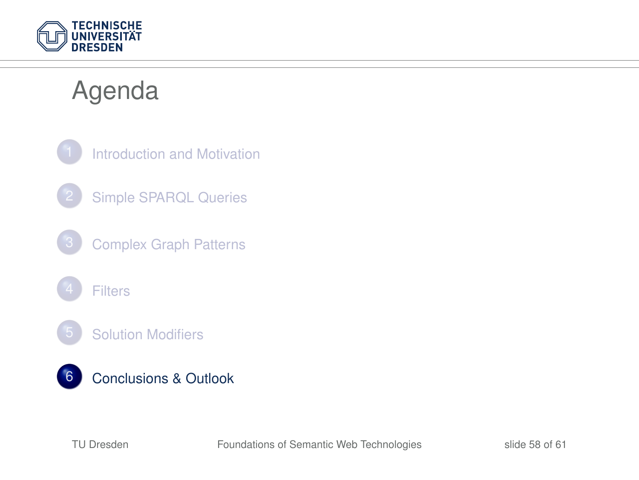

## Agenda

<span id="page-57-0"></span>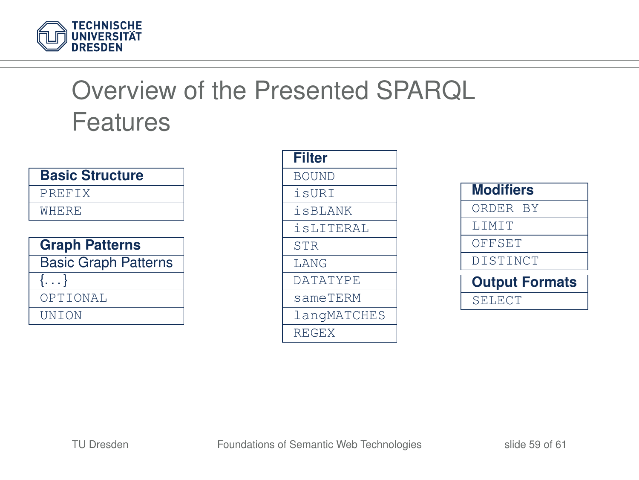

# Overview of the Presented SPARQL Features

| <b>Basic Structure</b> |  |
|------------------------|--|
| PREFIX                 |  |
| WHERE                  |  |
|                        |  |

| <b>Graph Patterns</b>       |  |
|-----------------------------|--|
| <b>Basic Graph Patterns</b> |  |
| $\{ \ldots \}$              |  |
| OPTIONAL                    |  |
| <b>UNTON</b>                |  |

| <b>Filter</b>   |
|-----------------|
| <b>BOUND</b>    |
| isURT           |
| <i>i</i> sBLANK |
| isLITERAL       |
| <b>STR</b>      |
| <b>T.ANG</b>    |
| <b>DATATYPE</b> |
| sameTERM        |
| langMATCHES     |
| <b>REGEX</b>    |

| <b>Modifiers</b>      |
|-----------------------|
| ORDER BY              |
| <b>T.TMTT</b>         |
| OFFSET                |
| DISTINCT              |
| <b>Output Formats</b> |
| SELECT                |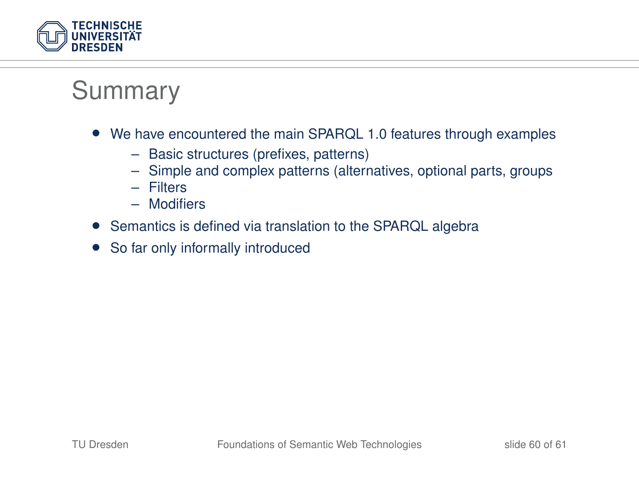

### Summary

- We have encountered the main SPARQL 1.0 features through examples
	- Basic structures (prefixes, patterns)
	- Simple and complex patterns (alternatives, optional parts, groups
	- Filters
	- Modifiers
- Semantics is defined via translation to the SPARQL algebra
- So far only informally introduced